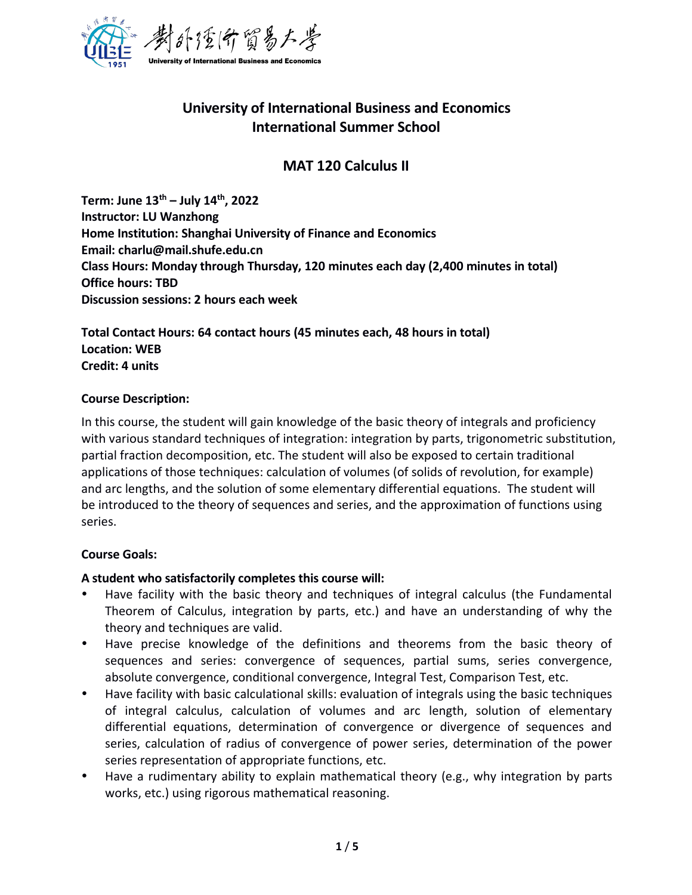

# **University of International Business and Economics International Summer School**

# **MAT 120 Calculus II**

**Term: June 13 th – July 14 th , 2022 Instructor: LU Wanzhong Home Institution: Shanghai University of Finance and Economics Email: [charlu@mail.shufe.edu.cn](mailto:charlu@mail.shufe.edu.cn) Class Hours: Monday through Thursday, 120 minutes each day (2,400 minutes in total) Office hours: TBD Discussion sessions: 2 hours each week**

**Total Contact Hours: 64 contact hours (45 minutes each, 48 hours in total) Location: WEB Credit: 4 units**

### **Course Description:**

In this course, the student will gain knowledge of the basic theory of integrals and proficiency with various standard techniques of integration: integration by parts, trigonometric substitution, partial fraction decomposition, etc. The student will also be exposed to certain traditional applications of those techniques: calculation of volumes (of solids of revolution, for example) and arc lengths, and the solution of some elementary differential equations. The student will be introduced to the theory of sequences and series, and the approximation of functions using series.

### **Course Goals:**

## **A student who satisfactorily completes this course will:**

- Have facility with the basic theory and techniques of integral calculus (the Fundamental Theorem of Calculus, integration by parts, etc.) and have an understanding of why the theory and techniques are valid.
- Have precise knowledge of the definitions and theorems from the basic theory of sequences and series: convergence of sequences, partial sums, series convergence, absolute convergence, conditional convergence, Integral Test, Comparison Test, etc.
- Have facility with basic calculational skills: evaluation of integrals using the basic techniques of integral calculus, calculation of volumes and arc length, solution of elementary differential equations, determination of convergence or divergence of sequences and series, calculation of radius of convergence of power series, determination of the power series representation of appropriate functions, etc.
- Have a rudimentary ability to explain mathematical theory (e.g., why integration by parts works, etc.) using rigorous mathematical reasoning.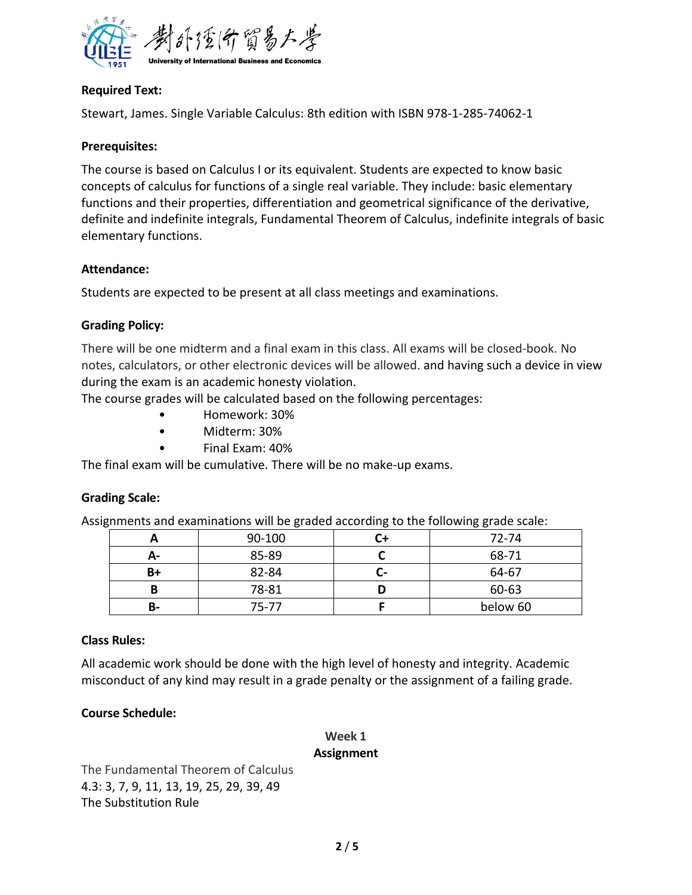

### **Required Text:**

Stewart, James. Single Variable Calculus: 8th edition with ISBN 978-1-285-74062-1

#### **Prerequisites:**

The course is based on Calculus I or its equivalent. Students are expected to know basic concepts of calculus for functions of a single real variable. They include: basic elementary functions and their properties, differentiation and geometrical significance of the derivative, definite and indefinite integrals, Fundamental Theorem of Calculus, indefinite integrals of basic elementary functions.

#### **Attendance:**

Students are expected to be present at all class meetings and examinations.

#### **Grading Policy:**

There will be one midterm and a final exam in this class. All exams will be closed-book. No notes, calculators, or other electronic devices will be allowed. and having such a device in view during the exam is an academic honesty violation.

The course grades will be calculated based on the following percentages:

- Homework: 30%
- Midterm: 30%
- Final Exam: 40%

The final exam will be cumulative. There will be no make-up exams.

### **Grading Scale:**

Assignments and examinations will be graded according to the following grade scale:

|      | 90-100 |    | 72-74    |
|------|--------|----|----------|
| $A-$ | 85-89  |    | 68-71    |
| B+   | 82-84  | Ŀ- | 64-67    |
| в    | 78-81  | U  | 60-63    |
| В-   | 75-77  |    | below 60 |

### **Class Rules:**

All academic work should be done with the high level of honesty and integrity. Academic misconduct of any kind may result in a grade penalty or the assignment of a failing grade.

### **Course Schedule:**

### **Week 1**

#### **Assignment**

The Fundamental Theorem of Calculus 4.3: 3, 7, 9, 11, 13, 19, 25, 29, 39, 49 The Substitution Rule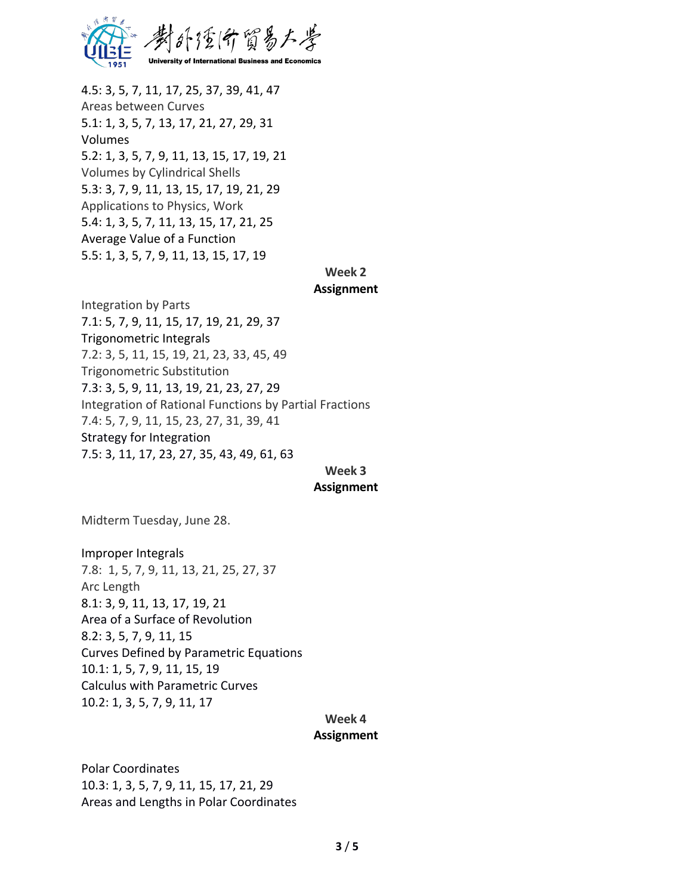

4.5: 3, 5, 7, 11, 17, 25, 37, 39, 41, 47 Areas between Curves 5.1: 1, 3, 5, 7, 13, 17, 21, 27, 29, 31 Volumes 5.2: 1, 3, 5, 7, 9, 11, 13, 15, 17, 19, 21 Volumes by Cylindrical Shells 5.3: 3, 7, 9, 11, 13, 15, 17, 19, 21, 29 Applications to Physics, Work 5.4: 1, 3, 5, 7, 11, 13, 15, 17, 21, 25 Average Value of a Function 5.5: 1, 3, 5, 7, 9, 11, 13, 15, 17, 19

## **Week 2**

#### **Assignment**

Integration by Parts 7.1: 5, 7, 9, 11, 15, 17, 19, 21, 29, 37 Trigonometric Integrals 7.2: 3, 5, 11, 15, 19, 21, 23, 33, 45, 49 Trigonometric Substitution 7.3: 3, 5, 9, 11, 13, 19, 21, 23, 27, 29 Integration of Rational Functions by Partial Fractions 7.4: 5, 7, 9, 11, 15, 23, 27, 31, 39, 41 Strategy for Integration 7.5: 3, 11, 17, 23, 27, 35, 43, 49, 61, 63

### **Week 3**

#### **Assignment**

Midterm Tuesday, June 28.

Improper Integrals 7.8: 1, 5, 7, 9, 11, 13, 21, 25, 27, 37 Arc Length 8.1: 3, 9, 11, 13, 17, 19, 21 Area of a Surface of Revolution 8.2: 3, 5, 7, 9, 11, 15 Curves Defined by Parametric Equations 10.1: 1, 5, 7, 9, 11, 15, 19 Calculus with Parametric Curves 10.2: 1, 3, 5, 7, 9, 11, 17

#### **Week 4**

#### **Assignment**

Polar Coordinates 10.3: 1, 3, 5, 7, 9, 11, 15, 17, 21, 29 Areas and Lengths in Polar Coordinates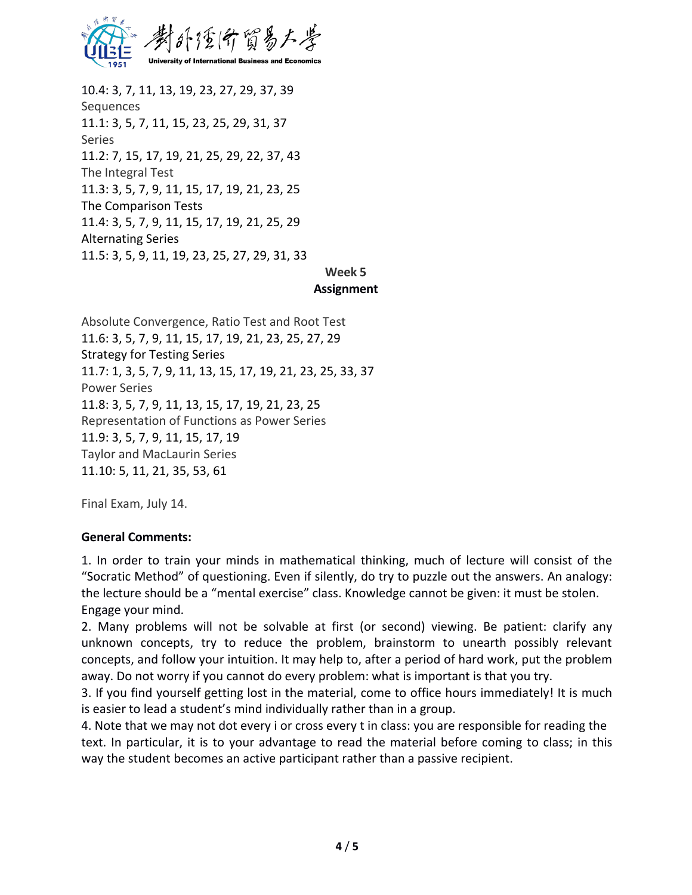

10.4: 3, 7, 11, 13, 19, 23, 27, 29, 37, 39 Sequences 11.1: 3, 5, 7, 11, 15, 23, 25, 29, 31, 37 Series 11.2: 7, 15, 17, 19, 21, 25, 29, 22, 37, 43 The Integral Test 11.3: 3, 5, 7, 9, 11, 15, 17, 19, 21, 23, 25 The Comparison Tests 11.4: 3, 5, 7, 9, 11, 15, 17, 19, 21, 25, 29 Alternating Series 11.5: 3, 5, 9, 11, 19, 23, 25, 27, 29, 31, 33

#### **Week 5 Assignment**

Absolute Convergence, Ratio Test and Root Test 11.6: 3, 5, 7, 9, 11, 15, 17, 19, 21, 23, 25, 27, 29 Strategy for Testing Series 11.7: 1, 3, 5, 7, 9, 11, 13, 15, 17, 19, 21, 23, 25, 33, 37 Power Series 11.8: 3, 5, 7, 9, 11, 13, 15, 17, 19, 21, 23, 25 Representation of Functions as Power Series 11.9: 3, 5, 7, 9, 11, 15, 17, 19 Taylor and MacLaurin Series 11.10: 5, 11, 21, 35, 53, 61

Final Exam, July 14.

### **General Comments:**

1. In order to train your minds in mathematical thinking, much of lecture will consist of the "Socratic Method" of questioning. Even if silently, do tryto puzzle out the answers. An analogy: the lecture should be a "mental exercise" class. Knowledge cannot be given: it must be stolen. Engage your mind.<br>2. Many problems will not be solvable at first (or second) viewing. Be patient: clarify any

unknown concepts, try to reduce the problem, brainstorm to unearth possibly relevant concepts, and follow your intuition. It may help to, after a period of hard work, put the problem away. Do not worry if you cannot do every problem: what is important is that you try.

3. If you find yourself getting lost in the material, come to office hours immediately! It is much is easier to lead a student's mind individually rather than in a group.

4. Note that we may not dot every i or cross every t in class: you are responsible for reading the text. In particular, it is to your advantage to read the material before coming to class; in this way the student becomes an active participant rather than a passive recipient.